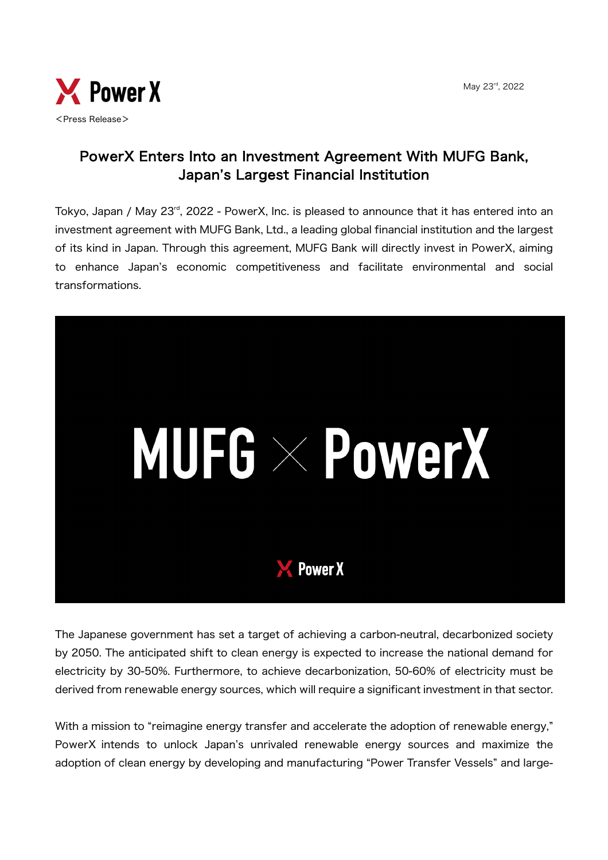May 23rd, 2022



## PowerX Enters Into an Investment Agreement With MUFG Bank, Japan's Largest Financial Institution

Tokvo, Japan / May 23<sup>rd</sup>, 2022 - PowerX, Inc. is pleased to announce that it has entered into an investment agreement with MUFG Bank, Ltd., a leading global financial institution and the largest of its kind in Japan. Through this agreement, MUFG Bank will directly invest in PowerX, aiming to enhance Japan's economic competitiveness and facilitate environmental and social transformations.



The Japanese government has set a target of achieving a carbon-neutral, decarbonized society by 2050. The anticipated shift to clean energy is expected to increase the national demand for electricity by 30-50%. Furthermore, to achieve decarbonization, 50-60% of electricity must be derived from renewable energy sources, which will require a significant investment in that sector.

With a mission to "reimagine energy transfer and accelerate the adoption of renewable energy," PowerX intends to unlock Japan's unrivaled renewable energy sources and maximize the adoption of clean energy by developing and manufacturing "Power Transfer Vessels" and large